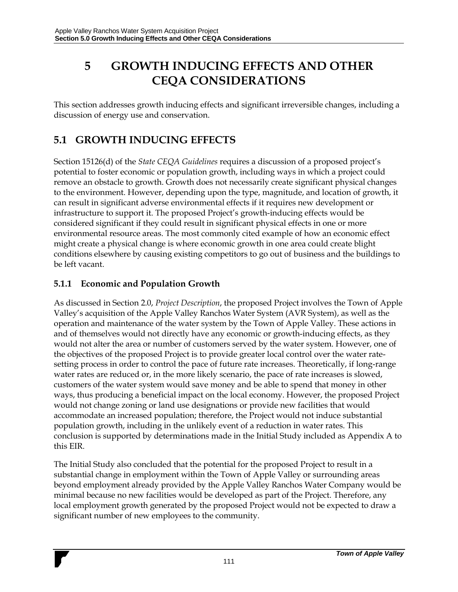# **5 GROWTH INDUCING EFFECTS AND OTHER CEQA CONSIDERATIONS**

This section addresses growth inducing effects and significant irreversible changes, including a discussion of energy use and conservation.

## **5.1 GROWTH INDUCING EFFECTS**

Section 15126(d) of the *State CEQA Guidelines* requires a discussion of a proposed project's potential to foster economic or population growth, including ways in which a project could remove an obstacle to growth. Growth does not necessarily create significant physical changes to the environment. However, depending upon the type, magnitude, and location of growth, it can result in significant adverse environmental effects if it requires new development or infrastructure to support it. The proposed Project's growth-inducing effects would be considered significant if they could result in significant physical effects in one or more environmental resource areas. The most commonly cited example of how an economic effect might create a physical change is where economic growth in one area could create blight conditions elsewhere by causing existing competitors to go out of business and the buildings to be left vacant.

#### **5.1.1 Economic and Population Growth**

As discussed in Section 2.0, *Project Description*, the proposed Project involves the Town of Apple Valley's acquisition of the Apple Valley Ranchos Water System (AVR System), as well as the operation and maintenance of the water system by the Town of Apple Valley. These actions in and of themselves would not directly have any economic or growth-inducing effects, as they would not alter the area or number of customers served by the water system. However, one of the objectives of the proposed Project is to provide greater local control over the water ratesetting process in order to control the pace of future rate increases. Theoretically, if long-range water rates are reduced or, in the more likely scenario, the pace of rate increases is slowed, customers of the water system would save money and be able to spend that money in other ways, thus producing a beneficial impact on the local economy. However, the proposed Project would not change zoning or land use designations or provide new facilities that would accommodate an increased population; therefore, the Project would not induce substantial population growth, including in the unlikely event of a reduction in water rates. This conclusion is supported by determinations made in the Initial Study included as Appendix A to this EIR.

The Initial Study also concluded that the potential for the proposed Project to result in a substantial change in employment within the Town of Apple Valley or surrounding areas beyond employment already provided by the Apple Valley Ranchos Water Company would be minimal because no new facilities would be developed as part of the Project. Therefore, any local employment growth generated by the proposed Project would not be expected to draw a significant number of new employees to the community.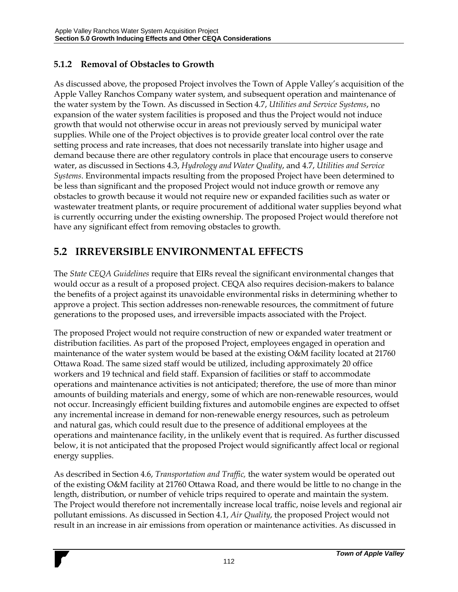## **5.1.2 Removal of Obstacles to Growth**

As discussed above, the proposed Project involves the Town of Apple Valley's acquisition of the Apple Valley Ranchos Company water system, and subsequent operation and maintenance of the water system by the Town. As discussed in Section 4.7, *Utilities and Service Systems*, no expansion of the water system facilities is proposed and thus the Project would not induce growth that would not otherwise occur in areas not previously served by municipal water supplies. While one of the Project objectives is to provide greater local control over the rate setting process and rate increases, that does not necessarily translate into higher usage and demand because there are other regulatory controls in place that encourage users to conserve water, as discussed in Sections 4.3, *Hydrology and Water Quality*, and 4.7, *Utilities and Service Systems*. Environmental impacts resulting from the proposed Project have been determined to be less than significant and the proposed Project would not induce growth or remove any obstacles to growth because it would not require new or expanded facilities such as water or wastewater treatment plants, or require procurement of additional water supplies beyond what is currently occurring under the existing ownership. The proposed Project would therefore not have any significant effect from removing obstacles to growth.

## **5.2 IRREVERSIBLE ENVIRONMENTAL EFFECTS**

The *State CEQA Guidelines* require that EIRs reveal the significant environmental changes that would occur as a result of a proposed project. CEQA also requires decision-makers to balance the benefits of a project against its unavoidable environmental risks in determining whether to approve a project. This section addresses non-renewable resources, the commitment of future generations to the proposed uses, and irreversible impacts associated with the Project.

The proposed Project would not require construction of new or expanded water treatment or distribution facilities. As part of the proposed Project, employees engaged in operation and maintenance of the water system would be based at the existing O&M facility located at 21760 Ottawa Road. The same sized staff would be utilized, including approximately 20 office workers and 19 technical and field staff. Expansion of facilities or staff to accommodate operations and maintenance activities is not anticipated; therefore, the use of more than minor amounts of building materials and energy, some of which are non-renewable resources, would not occur. Increasingly efficient building fixtures and automobile engines are expected to offset any incremental increase in demand for non-renewable energy resources, such as petroleum and natural gas, which could result due to the presence of additional employees at the operations and maintenance facility, in the unlikely event that is required. As further discussed below, it is not anticipated that the proposed Project would significantly affect local or regional energy supplies.

As described in Section 4.6, *Transportation and Traffic,* the water system would be operated out of the existing O&M facility at 21760 Ottawa Road, and there would be little to no change in the length, distribution, or number of vehicle trips required to operate and maintain the system. The Project would therefore not incrementally increase local traffic, noise levels and regional air pollutant emissions. As discussed in Section 4.1, *Air Quality*, the proposed Project would not result in an increase in air emissions from operation or maintenance activities. As discussed in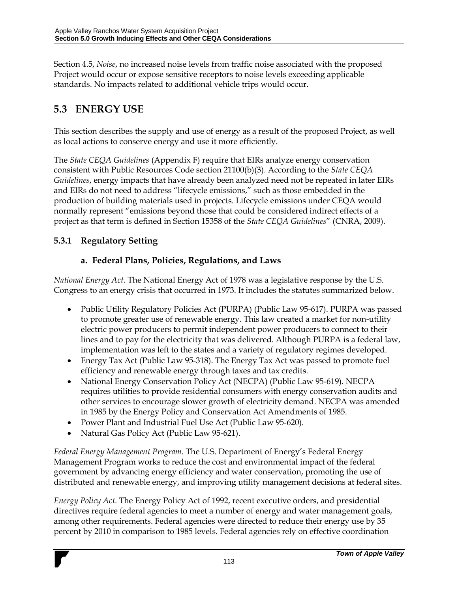Section 4.5, *Noise*, no increased noise levels from traffic noise associated with the proposed Project would occur or expose sensitive receptors to noise levels exceeding applicable standards. No impacts related to additional vehicle trips would occur.

## **5.3 ENERGY USE**

This section describes the supply and use of energy as a result of the proposed Project, as well as local actions to conserve energy and use it more efficiently.

The *State CEQA Guidelines* (Appendix F) require that EIRs analyze energy conservation consistent with Public Resources Code section 21100(b)(3). According to the *State CEQA Guidelines*, energy impacts that have already been analyzed need not be repeated in later EIRs and EIRs do not need to address "lifecycle emissions," such as those embedded in the production of building materials used in projects. Lifecycle emissions under CEQA would normally represent "emissions beyond those that could be considered indirect effects of a project as that term is defined in Section 15358 of the *State CEQA Guidelines*" (CNRA, 2009).

## **5.3.1 Regulatory Setting**

#### **a. Federal Plans, Policies, Regulations, and Laws**

*National Energy Act.* The National Energy Act of 1978 was a legislative response by the U.S. Congress to an energy crisis that occurred in 1973. It includes the statutes summarized below.

- Public Utility Regulatory Policies Act (PURPA) (Public Law 95-617). PURPA was passed to promote greater use of renewable energy. This law created a market for non-utility electric power producers to permit independent power producers to connect to their lines and to pay for the electricity that was delivered. Although PURPA is a federal law, implementation was left to the states and a variety of regulatory regimes developed.
- Energy Tax Act (Public Law 95-318). The Energy Tax Act was passed to promote fuel efficiency and renewable energy through taxes and tax credits.
- National Energy Conservation Policy Act (NECPA) (Public Law 95-619). NECPA requires utilities to provide residential consumers with energy conservation audits and other services to encourage slower growth of electricity demand. NECPA was amended in 1985 by the Energy Policy and Conservation Act Amendments of 1985.
- Power Plant and Industrial Fuel Use Act (Public Law 95-620).
- Natural Gas Policy Act (Public Law 95-621).

*Federal Energy Management Program.* The U.S. Department of Energy's Federal Energy Management Program works to reduce the cost and environmental impact of the federal government by advancing energy efficiency and water conservation, promoting the use of distributed and renewable energy, and improving utility management decisions at federal sites.

*Energy Policy Act.* The Energy Policy Act of 1992, recent executive orders, and presidential directives require federal agencies to meet a number of energy and water management goals, among other requirements. Federal agencies were directed to reduce their energy use by 35 percent by 2010 in comparison to 1985 levels. Federal agencies rely on effective coordination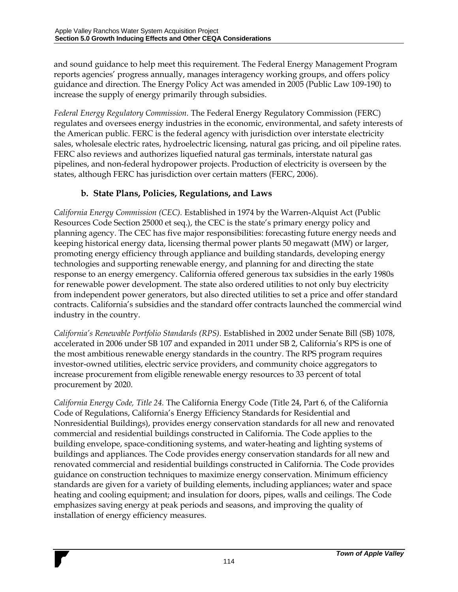and sound guidance to help meet this requirement. The Federal Energy Management Program reports agencies' progress annually, manages interagency working groups, and offers policy guidance and direction. The Energy Policy Act was amended in 2005 (Public Law 109-190) to increase the supply of energy primarily through subsidies.

*Federal Energy Regulatory Commission.* The Federal Energy Regulatory Commission (FERC) regulates and oversees energy industries in the economic, environmental, and safety interests of the American public. FERC is the federal agency with jurisdiction over interstate electricity sales, wholesale electric rates, hydroelectric licensing, natural gas pricing, and oil pipeline rates. FERC also reviews and authorizes liquefied natural gas terminals, interstate natural gas pipelines, and non-federal hydropower projects. Production of electricity is overseen by the states, although FERC has jurisdiction over certain matters (FERC, 2006).

## **b. State Plans, Policies, Regulations, and Laws**

*California Energy Commission (CEC).* Established in 1974 by the Warren-Alquist Act (Public Resources Code Section 25000 et seq.), the CEC is the state's primary energy policy and planning agency. The CEC has five major responsibilities: forecasting future energy needs and keeping historical energy data, licensing thermal power plants 50 megawatt (MW) or larger, promoting energy efficiency through appliance and building standards, developing energy technologies and supporting renewable energy, and planning for and directing the state response to an energy emergency. California offered generous tax subsidies in the early 1980s for renewable power development. The state also ordered utilities to not only buy electricity from independent power generators, but also directed utilities to set a price and offer standard contracts. California's subsidies and the standard offer contracts launched the commercial wind industry in the country.

*California's Renewable Portfolio Standards (RPS).* Established in 2002 under Senate Bill (SB) 1078, accelerated in 2006 under SB 107 and expanded in 2011 under SB 2, California's RPS is one of the most ambitious renewable energy standards in the country. The RPS program requires investor-owned utilities, electric service providers, and community choice aggregators to increase procurement from eligible renewable energy resources to 33 percent of total procurement by 2020.

*California Energy Code, Title 24.* The California Energy Code (Title 24, Part 6, of the California Code of Regulations, California's Energy Efficiency Standards for Residential and Nonresidential Buildings), provides energy conservation standards for all new and renovated commercial and residential buildings constructed in California. The Code applies to the building envelope, space-conditioning systems, and water-heating and lighting systems of buildings and appliances. The Code provides energy conservation standards for all new and renovated commercial and residential buildings constructed in California. The Code provides guidance on construction techniques to maximize energy conservation. Minimum efficiency standards are given for a variety of building elements, including appliances; water and space heating and cooling equipment; and insulation for doors, pipes, walls and ceilings. The Code emphasizes saving energy at peak periods and seasons, and improving the quality of installation of energy efficiency measures.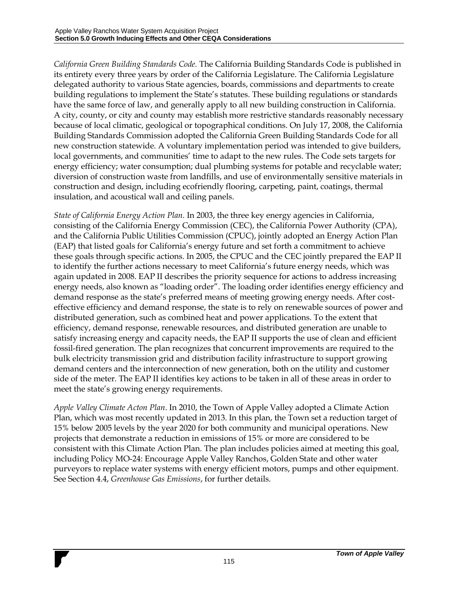*California Green Building Standards Code.* The California Building Standards Code is published in its entirety every three years by order of the California Legislature. The California Legislature delegated authority to various State agencies, boards, commissions and departments to create building regulations to implement the State's statutes. These building regulations or standards have the same force of law, and generally apply to all new building construction in California. A city, county, or city and county may establish more restrictive standards reasonably necessary because of local climatic, geological or topographical conditions. On July 17, 2008, the California Building Standards Commission adopted the California Green Building Standards Code for all new construction statewide. A voluntary implementation period was intended to give builders, local governments, and communities' time to adapt to the new rules. The Code sets targets for energy efficiency; water consumption; dual plumbing systems for potable and recyclable water; diversion of construction waste from landfills, and use of environmentally sensitive materials in construction and design, including ecofriendly flooring, carpeting, paint, coatings, thermal insulation, and acoustical wall and ceiling panels.

*State of California Energy Action Plan.* In 2003, the three key energy agencies in California, consisting of the California Energy Commission (CEC), the California Power Authority (CPA), and the California Public Utilities Commission (CPUC), jointly adopted an Energy Action Plan (EAP) that listed goals for California's energy future and set forth a commitment to achieve these goals through specific actions. In 2005, the CPUC and the CEC jointly prepared the EAP II to identify the further actions necessary to meet California's future energy needs, which was again updated in 2008. EAP II describes the priority sequence for actions to address increasing energy needs, also known as "loading order". The loading order identifies energy efficiency and demand response as the state's preferred means of meeting growing energy needs. After costeffective efficiency and demand response, the state is to rely on renewable sources of power and distributed generation, such as combined heat and power applications. To the extent that efficiency, demand response, renewable resources, and distributed generation are unable to satisfy increasing energy and capacity needs, the EAP II supports the use of clean and efficient fossil-fired generation. The plan recognizes that concurrent improvements are required to the bulk electricity transmission grid and distribution facility infrastructure to support growing demand centers and the interconnection of new generation, both on the utility and customer side of the meter. The EAP II identifies key actions to be taken in all of these areas in order to meet the state's growing energy requirements.

*Apple Valley Climate Acton Plan*. In 2010, the Town of Apple Valley adopted a Climate Action Plan, which was most recently updated in 2013. In this plan, the Town set a reduction target of 15% below 2005 levels by the year 2020 for both community and municipal operations. New projects that demonstrate a reduction in emissions of 15% or more are considered to be consistent with this Climate Action Plan. The plan includes policies aimed at meeting this goal, including Policy MO-24: Encourage Apple Valley Ranchos, Golden State and other water purveyors to replace water systems with energy efficient motors, pumps and other equipment. See Section 4.4, *Greenhouse Gas Emissions*, for further details.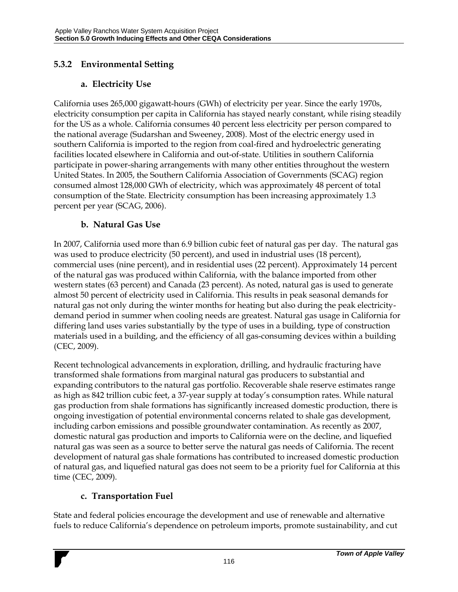## **5.3.2 Environmental Setting**

## **a. Electricity Use**

California uses 265,000 gigawatt-hours (GWh) of electricity per year. Since the early 1970s, electricity consumption per capita in California has stayed nearly constant, while rising steadily for the US as a whole. California consumes 40 percent less electricity per person compared to the national average (Sudarshan and Sweeney, 2008). Most of the electric energy used in southern California is imported to the region from coal-fired and hydroelectric generating facilities located elsewhere in California and out-of-state. Utilities in southern California participate in power-sharing arrangements with many other entities throughout the western United States. In 2005, the Southern California Association of Governments (SCAG) region consumed almost 128,000 GWh of electricity, which was approximately 48 percent of total consumption of the State. Electricity consumption has been increasing approximately 1.3 percent per year (SCAG, 2006).

#### **b. Natural Gas Use**

In 2007, California used more than 6.9 billion cubic feet of natural gas per day. The natural gas was used to produce electricity (50 percent), and used in industrial uses (18 percent), commercial uses (nine percent), and in residential uses (22 percent). Approximately 14 percent of the natural gas was produced within California, with the balance imported from other western states (63 percent) and Canada (23 percent). As noted, natural gas is used to generate almost 50 percent of electricity used in California. This results in peak seasonal demands for natural gas not only during the winter months for heating but also during the peak electricitydemand period in summer when cooling needs are greatest. Natural gas usage in California for differing land uses varies substantially by the type of uses in a building, type of construction materials used in a building, and the efficiency of all gas-consuming devices within a building (CEC, 2009).

Recent technological advancements in exploration, drilling, and hydraulic fracturing have transformed shale formations from marginal natural gas producers to substantial and expanding contributors to the natural gas portfolio. Recoverable shale reserve estimates range as high as 842 trillion cubic feet, a 37‐year supply at today's consumption rates. While natural gas production from shale formations has significantly increased domestic production, there is ongoing investigation of potential environmental concerns related to shale gas development, including carbon emissions and possible groundwater contamination. As recently as 2007, domestic natural gas production and imports to California were on the decline, and liquefied natural gas was seen as a source to better serve the natural gas needs of California. The recent development of natural gas shale formations has contributed to increased domestic production of natural gas, and liquefied natural gas does not seem to be a priority fuel for California at this time (CEC, 2009).

## **c. Transportation Fuel**

State and federal policies encourage the development and use of renewable and alternative fuels to reduce California's dependence on petroleum imports, promote sustainability, and cut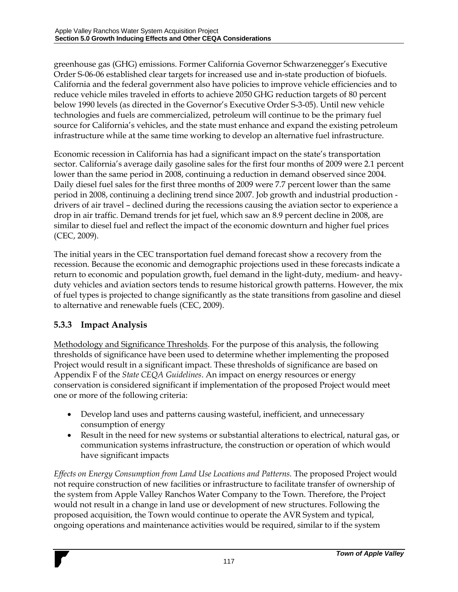greenhouse gas (GHG) emissions. Former California Governor Schwarzenegger's Executive Order S-06-06 established clear targets for increased use and in-state production of biofuels. California and the federal government also have policies to improve vehicle efficiencies and to reduce vehicle miles traveled in efforts to achieve 2050 GHG reduction targets of 80 percent below 1990 levels (as directed in the Governor's Executive Order S-3-05). Until new vehicle technologies and fuels are commercialized, petroleum will continue to be the primary fuel source for California's vehicles, and the state must enhance and expand the existing petroleum infrastructure while at the same time working to develop an alternative fuel infrastructure.

Economic recession in California has had a significant impact on the state's transportation sector. California's average daily gasoline sales for the first four months of 2009 were 2.1 percent lower than the same period in 2008, continuing a reduction in demand observed since 2004. Daily diesel fuel sales for the first three months of 2009 were 7.7 percent lower than the same period in 2008, continuing a declining trend since 2007. Job growth and industrial production drivers of air travel – declined during the recessions causing the aviation sector to experience a drop in air traffic. Demand trends for jet fuel, which saw an 8.9 percent decline in 2008, are similar to diesel fuel and reflect the impact of the economic downturn and higher fuel prices (CEC, 2009).

The initial years in the CEC transportation fuel demand forecast show a recovery from the recession. Because the economic and demographic projections used in these forecasts indicate a return to economic and population growth, fuel demand in the light-duty, medium- and heavyduty vehicles and aviation sectors tends to resume historical growth patterns. However, the mix of fuel types is projected to change significantly as the state transitions from gasoline and diesel to alternative and renewable fuels (CEC, 2009).

## **5.3.3 Impact Analysis**

Methodology and Significance Thresholds. For the purpose of this analysis, the following thresholds of significance have been used to determine whether implementing the proposed Project would result in a significant impact. These thresholds of significance are based on Appendix F of the *State CEQA Guidelines*. An impact on energy resources or energy conservation is considered significant if implementation of the proposed Project would meet one or more of the following criteria:

- Develop land uses and patterns causing wasteful, inefficient, and unnecessary consumption of energy
- Result in the need for new systems or substantial alterations to electrical, natural gas, or communication systems infrastructure, the construction or operation of which would have significant impacts

*Effects on Energy Consumption from Land Use Locations and Patterns.* The proposed Project would not require construction of new facilities or infrastructure to facilitate transfer of ownership of the system from Apple Valley Ranchos Water Company to the Town. Therefore, the Project would not result in a change in land use or development of new structures. Following the proposed acquisition, the Town would continue to operate the AVR System and typical, ongoing operations and maintenance activities would be required, similar to if the system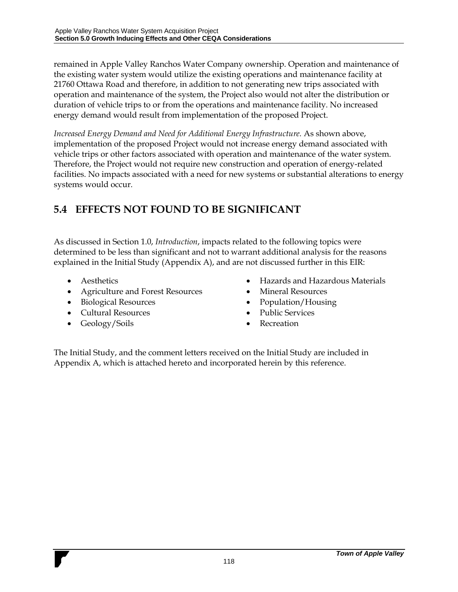remained in Apple Valley Ranchos Water Company ownership. Operation and maintenance of the existing water system would utilize the existing operations and maintenance facility at 21760 Ottawa Road and therefore, in addition to not generating new trips associated with operation and maintenance of the system, the Project also would not alter the distribution or duration of vehicle trips to or from the operations and maintenance facility. No increased energy demand would result from implementation of the proposed Project.

*Increased Energy Demand and Need for Additional Energy Infrastructure.* As shown above, implementation of the proposed Project would not increase energy demand associated with vehicle trips or other factors associated with operation and maintenance of the water system. Therefore, the Project would not require new construction and operation of energy-related facilities. No impacts associated with a need for new systems or substantial alterations to energy systems would occur.

## **5.4 EFFECTS NOT FOUND TO BE SIGNIFICANT**

As discussed in Section 1.0, *Introduction*, impacts related to the following topics were determined to be less than significant and not to warrant additional analysis for the reasons explained in the Initial Study (Appendix A), and are not discussed further in this EIR:

- Aesthetics
- Agriculture and Forest Resources
- Biological Resources
- Cultural Resources
- Geology/Soils
- Hazards and Hazardous Materials
- Mineral Resources
- Population/Housing
- Public Services
- Recreation

The Initial Study, and the comment letters received on the Initial Study are included in Appendix A, which is attached hereto and incorporated herein by this reference.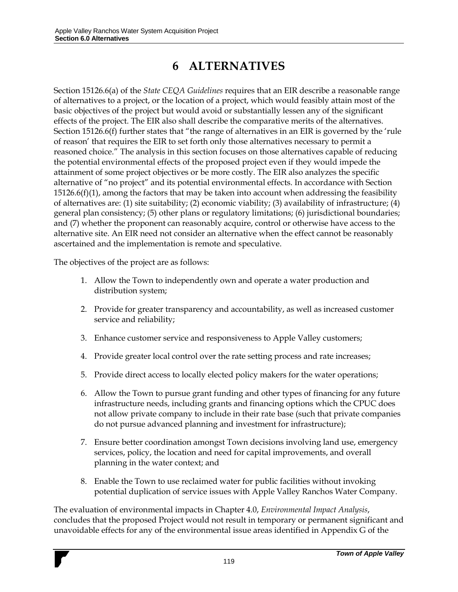# **6 ALTERNATIVES**

Section 15126.6(a) of the *State CEQA Guidelines* requires that an EIR describe a reasonable range of alternatives to a project, or the location of a project, which would feasibly attain most of the basic objectives of the project but would avoid or substantially lessen any of the significant effects of the project. The EIR also shall describe the comparative merits of the alternatives. Section 15126.6(f) further states that "the range of alternatives in an EIR is governed by the 'rule of reason' that requires the EIR to set forth only those alternatives necessary to permit a reasoned choice." The analysis in this section focuses on those alternatives capable of reducing the potential environmental effects of the proposed project even if they would impede the attainment of some project objectives or be more costly. The EIR also analyzes the specific alternative of "no project" and its potential environmental effects. In accordance with Section 15126.6(f)(1), among the factors that may be taken into account when addressing the feasibility of alternatives are: (1) site suitability; (2) economic viability; (3) availability of infrastructure; (4) general plan consistency; (5) other plans or regulatory limitations; (6) jurisdictional boundaries; and (7) whether the proponent can reasonably acquire, control or otherwise have access to the alternative site. An EIR need not consider an alternative when the effect cannot be reasonably ascertained and the implementation is remote and speculative.

The objectives of the project are as follows:

- 1. Allow the Town to independently own and operate a water production and distribution system;
- 2. Provide for greater transparency and accountability, as well as increased customer service and reliability;
- 3. Enhance customer service and responsiveness to Apple Valley customers;
- 4. Provide greater local control over the rate setting process and rate increases;
- 5. Provide direct access to locally elected policy makers for the water operations;
- 6. Allow the Town to pursue grant funding and other types of financing for any future infrastructure needs, including grants and financing options which the CPUC does not allow private company to include in their rate base (such that private companies do not pursue advanced planning and investment for infrastructure);
- 7. Ensure better coordination amongst Town decisions involving land use, emergency services, policy, the location and need for capital improvements, and overall planning in the water context; and
- 8. Enable the Town to use reclaimed water for public facilities without invoking potential duplication of service issues with Apple Valley Ranchos Water Company.

The evaluation of environmental impacts in Chapter 4.0, *Environmental Impact Analysis*, concludes that the proposed Project would not result in temporary or permanent significant and unavoidable effects for any of the environmental issue areas identified in Appendix G of the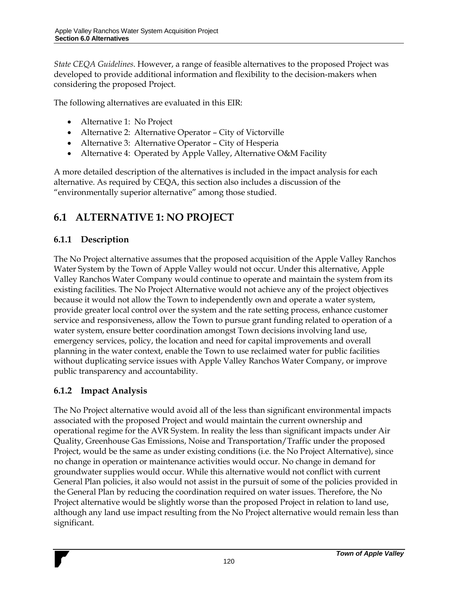*State CEQA Guidelines*. However, a range of feasible alternatives to the proposed Project was developed to provide additional information and flexibility to the decision-makers when considering the proposed Project.

The following alternatives are evaluated in this EIR:

- Alternative 1: No Project
- Alternative 2: Alternative Operator City of Victorville
- Alternative 3: Alternative Operator City of Hesperia
- Alternative 4: Operated by Apple Valley, Alternative O&M Facility

A more detailed description of the alternatives is included in the impact analysis for each alternative. As required by CEQA, this section also includes a discussion of the "environmentally superior alternative" among those studied.

## **6.1 ALTERNATIVE 1: NO PROJECT**

## **6.1.1 Description**

The No Project alternative assumes that the proposed acquisition of the Apple Valley Ranchos Water System by the Town of Apple Valley would not occur. Under this alternative, Apple Valley Ranchos Water Company would continue to operate and maintain the system from its existing facilities. The No Project Alternative would not achieve any of the project objectives because it would not allow the Town to independently own and operate a water system, provide greater local control over the system and the rate setting process, enhance customer service and responsiveness, allow the Town to pursue grant funding related to operation of a water system, ensure better coordination amongst Town decisions involving land use, emergency services, policy, the location and need for capital improvements and overall planning in the water context, enable the Town to use reclaimed water for public facilities without duplicating service issues with Apple Valley Ranchos Water Company, or improve public transparency and accountability.

## **6.1.2 Impact Analysis**

The No Project alternative would avoid all of the less than significant environmental impacts associated with the proposed Project and would maintain the current ownership and operational regime for the AVR System. In reality the less than significant impacts under Air Quality, Greenhouse Gas Emissions, Noise and Transportation/Traffic under the proposed Project, would be the same as under existing conditions (i.e. the No Project Alternative), since no change in operation or maintenance activities would occur. No change in demand for groundwater supplies would occur. While this alternative would not conflict with current General Plan policies, it also would not assist in the pursuit of some of the policies provided in the General Plan by reducing the coordination required on water issues. Therefore, the No Project alternative would be slightly worse than the proposed Project in relation to land use, although any land use impact resulting from the No Project alternative would remain less than significant.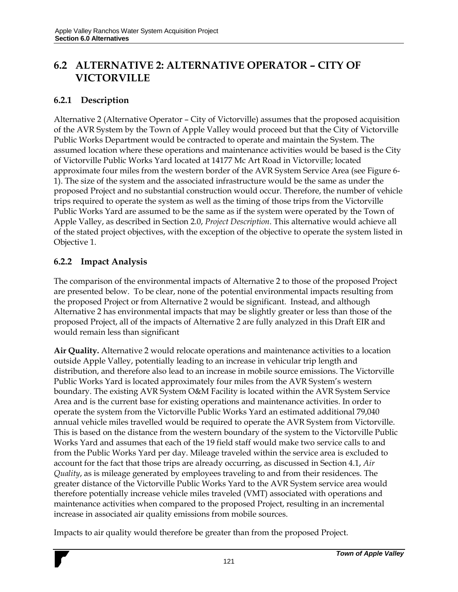## **6.2 ALTERNATIVE 2: ALTERNATIVE OPERATOR – CITY OF VICTORVILLE**

#### **6.2.1 Description**

Alternative 2 (Alternative Operator – City of Victorville) assumes that the proposed acquisition of the AVR System by the Town of Apple Valley would proceed but that the City of Victorville Public Works Department would be contracted to operate and maintain the System. The assumed location where these operations and maintenance activities would be based is the City of Victorville Public Works Yard located at 14177 Mc Art Road in Victorville; located approximate four miles from the western border of the AVR System Service Area (see Figure 6- 1). The size of the system and the associated infrastructure would be the same as under the proposed Project and no substantial construction would occur. Therefore, the number of vehicle trips required to operate the system as well as the timing of those trips from the Victorville Public Works Yard are assumed to be the same as if the system were operated by the Town of Apple Valley, as described in Section 2.0, *Project Description*. This alternative would achieve all of the stated project objectives, with the exception of the objective to operate the system listed in Objective 1.

#### **6.2.2 Impact Analysis**

The comparison of the environmental impacts of Alternative 2 to those of the proposed Project are presented below. To be clear, none of the potential environmental impacts resulting from the proposed Project or from Alternative 2 would be significant. Instead, and although Alternative 2 has environmental impacts that may be slightly greater or less than those of the proposed Project, all of the impacts of Alternative 2 are fully analyzed in this Draft EIR and would remain less than significant

**Air Quality.** Alternative 2 would relocate operations and maintenance activities to a location outside Apple Valley, potentially leading to an increase in vehicular trip length and distribution, and therefore also lead to an increase in mobile source emissions. The Victorville Public Works Yard is located approximately four miles from the AVR System's western boundary. The existing AVR System O&M Facility is located within the AVR System Service Area and is the current base for existing operations and maintenance activities. In order to operate the system from the Victorville Public Works Yard an estimated additional 79,040 annual vehicle miles travelled would be required to operate the AVR System from Victorville. This is based on the distance from the western boundary of the system to the Victorville Public Works Yard and assumes that each of the 19 field staff would make two service calls to and from the Public Works Yard per day. Mileage traveled within the service area is excluded to account for the fact that those trips are already occurring, as discussed in Section 4.1, *Air Quality*, as is mileage generated by employees traveling to and from their residences. The greater distance of the Victorville Public Works Yard to the AVR System service area would therefore potentially increase vehicle miles traveled (VMT) associated with operations and maintenance activities when compared to the proposed Project, resulting in an incremental increase in associated air quality emissions from mobile sources.

Impacts to air quality would therefore be greater than from the proposed Project.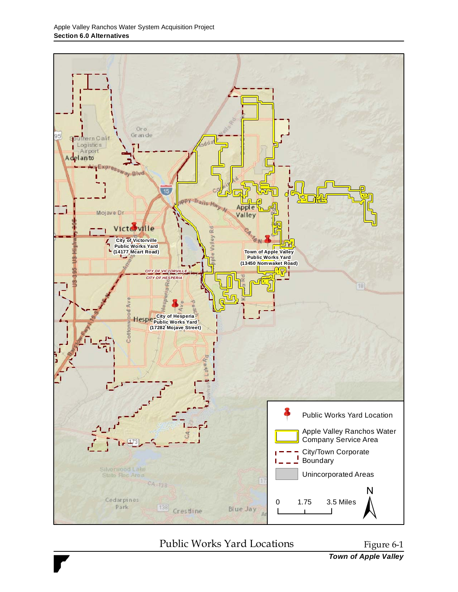

## Public Works Yard Locations Figure 6-1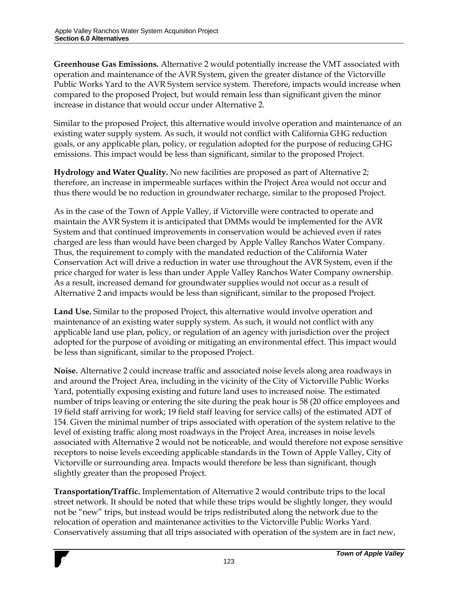**Greenhouse Gas Emissions.** Alternative 2 would potentially increase the VMT associated with operation and maintenance of the AVR System, given the greater distance of the Victorville Public Works Yard to the AVR System service system. Therefore, impacts would increase when compared to the proposed Project, but would remain less than significant given the minor increase in distance that would occur under Alternative 2.

Similar to the proposed Project, this alternative would involve operation and maintenance of an existing water supply system. As such, it would not conflict with California GHG reduction goals, or any applicable plan, policy, or regulation adopted for the purpose of reducing GHG emissions. This impact would be less than significant, similar to the proposed Project.

**Hydrology and Water Quality.** No new facilities are proposed as part of Alternative 2; therefore, an increase in impermeable surfaces within the Project Area would not occur and thus there would be no reduction in groundwater recharge, similar to the proposed Project.

As in the case of the Town of Apple Valley, if Victorville were contracted to operate and maintain the AVR System it is anticipated that DMMs would be implemented for the AVR System and that continued improvements in conservation would be achieved even if rates charged are less than would have been charged by Apple Valley Ranchos Water Company. Thus, the requirement to comply with the mandated reduction of the California Water Conservation Act will drive a reduction in water use throughout the AVR System, even if the price charged for water is less than under Apple Valley Ranchos Water Company ownership. As a result, increased demand for groundwater supplies would not occur as a result of Alternative 2 and impacts would be less than significant, similar to the proposed Project.

**Land Use.** Similar to the proposed Project, this alternative would involve operation and maintenance of an existing water supply system. As such, it would not conflict with any applicable land use plan, policy, or regulation of an agency with jurisdiction over the project adopted for the purpose of avoiding or mitigating an environmental effect. This impact would be less than significant, similar to the proposed Project.

**Noise.** Alternative 2 could increase traffic and associated noise levels along area roadways in and around the Project Area, including in the vicinity of the City of Victorville Public Works Yard, potentially exposing existing and future land uses to increased noise. The estimated number of trips leaving or entering the site during the peak hour is 58 (20 office employees and 19 field staff arriving for work; 19 field staff leaving for service calls) of the estimated ADT of 154. Given the minimal number of trips associated with operation of the system relative to the level of existing traffic along most roadways in the Project Area, increases in noise levels associated with Alternative 2 would not be noticeable, and would therefore not expose sensitive receptors to noise levels exceeding applicable standards in the Town of Apple Valley, City of Victorville or surrounding area. Impacts would therefore be less than significant, though slightly greater than the proposed Project.

**Transportation/Traffic.** Implementation of Alternative 2 would contribute trips to the local street network. It should be noted that while these trips would be slightly longer, they would not be "new" trips, but instead would be trips redistributed along the network due to the relocation of operation and maintenance activities to the Victorville Public Works Yard. Conservatively assuming that all trips associated with operation of the system are in fact new,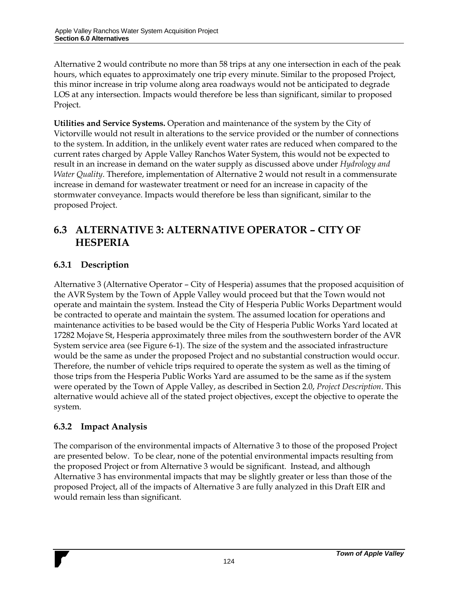Alternative 2 would contribute no more than 58 trips at any one intersection in each of the peak hours, which equates to approximately one trip every minute. Similar to the proposed Project, this minor increase in trip volume along area roadways would not be anticipated to degrade LOS at any intersection. Impacts would therefore be less than significant, similar to proposed Project.

**Utilities and Service Systems.** Operation and maintenance of the system by the City of Victorville would not result in alterations to the service provided or the number of connections to the system. In addition, in the unlikely event water rates are reduced when compared to the current rates charged by Apple Valley Ranchos Water System, this would not be expected to result in an increase in demand on the water supply as discussed above under *Hydrology and Water Quality*. Therefore, implementation of Alternative 2 would not result in a commensurate increase in demand for wastewater treatment or need for an increase in capacity of the stormwater conveyance. Impacts would therefore be less than significant, similar to the proposed Project.

## **6.3 ALTERNATIVE 3: ALTERNATIVE OPERATOR – CITY OF HESPERIA**

## **6.3.1 Description**

Alternative 3 (Alternative Operator – City of Hesperia) assumes that the proposed acquisition of the AVR System by the Town of Apple Valley would proceed but that the Town would not operate and maintain the system. Instead the City of Hesperia Public Works Department would be contracted to operate and maintain the system. The assumed location for operations and maintenance activities to be based would be the City of Hesperia Public Works Yard located at 17282 Mojave St, Hesperia approximately three miles from the southwestern border of the AVR System service area (see Figure 6-1). The size of the system and the associated infrastructure would be the same as under the proposed Project and no substantial construction would occur. Therefore, the number of vehicle trips required to operate the system as well as the timing of those trips from the Hesperia Public Works Yard are assumed to be the same as if the system were operated by the Town of Apple Valley, as described in Section 2.0, *Project Description*. This alternative would achieve all of the stated project objectives, except the objective to operate the system.

#### **6.3.2 Impact Analysis**

The comparison of the environmental impacts of Alternative 3 to those of the proposed Project are presented below. To be clear, none of the potential environmental impacts resulting from the proposed Project or from Alternative 3 would be significant. Instead, and although Alternative 3 has environmental impacts that may be slightly greater or less than those of the proposed Project, all of the impacts of Alternative 3 are fully analyzed in this Draft EIR and would remain less than significant.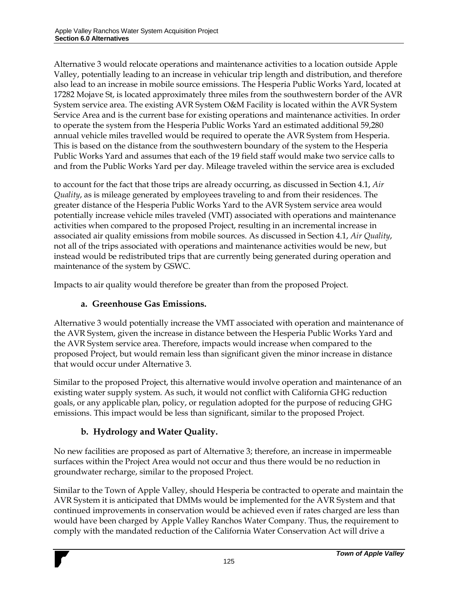Alternative 3 would relocate operations and maintenance activities to a location outside Apple Valley, potentially leading to an increase in vehicular trip length and distribution, and therefore also lead to an increase in mobile source emissions. The Hesperia Public Works Yard, located at 17282 Mojave St, is located approximately three miles from the southwestern border of the AVR System service area. The existing AVR System O&M Facility is located within the AVR System Service Area and is the current base for existing operations and maintenance activities. In order to operate the system from the Hesperia Public Works Yard an estimated additional 59,280 annual vehicle miles travelled would be required to operate the AVR System from Hesperia. This is based on the distance from the southwestern boundary of the system to the Hesperia Public Works Yard and assumes that each of the 19 field staff would make two service calls to and from the Public Works Yard per day. Mileage traveled within the service area is excluded

to account for the fact that those trips are already occurring, as discussed in Section 4.1, *Air Quality*, as is mileage generated by employees traveling to and from their residences. The greater distance of the Hesperia Public Works Yard to the AVR System service area would potentially increase vehicle miles traveled (VMT) associated with operations and maintenance activities when compared to the proposed Project, resulting in an incremental increase in associated air quality emissions from mobile sources. As discussed in Section 4.1, *Air Quality*, not all of the trips associated with operations and maintenance activities would be new, but instead would be redistributed trips that are currently being generated during operation and maintenance of the system by GSWC.

Impacts to air quality would therefore be greater than from the proposed Project.

## **a. Greenhouse Gas Emissions.**

Alternative 3 would potentially increase the VMT associated with operation and maintenance of the AVR System, given the increase in distance between the Hesperia Public Works Yard and the AVR System service area. Therefore, impacts would increase when compared to the proposed Project, but would remain less than significant given the minor increase in distance that would occur under Alternative 3.

Similar to the proposed Project, this alternative would involve operation and maintenance of an existing water supply system. As such, it would not conflict with California GHG reduction goals, or any applicable plan, policy, or regulation adopted for the purpose of reducing GHG emissions. This impact would be less than significant, similar to the proposed Project.

## **b. Hydrology and Water Quality.**

No new facilities are proposed as part of Alternative 3; therefore, an increase in impermeable surfaces within the Project Area would not occur and thus there would be no reduction in groundwater recharge, similar to the proposed Project.

Similar to the Town of Apple Valley, should Hesperia be contracted to operate and maintain the AVR System it is anticipated that DMMs would be implemented for the AVR System and that continued improvements in conservation would be achieved even if rates charged are less than would have been charged by Apple Valley Ranchos Water Company. Thus, the requirement to comply with the mandated reduction of the California Water Conservation Act will drive a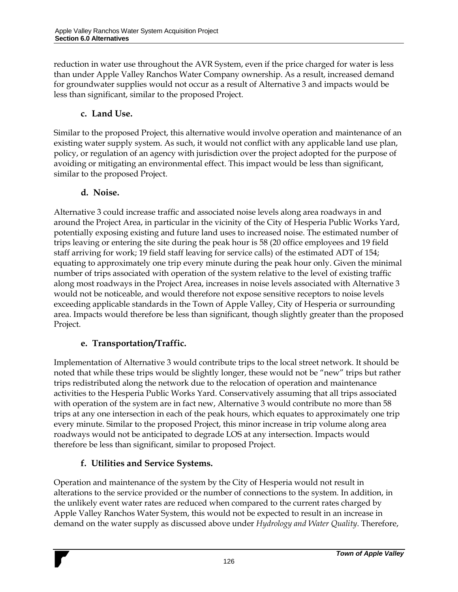reduction in water use throughout the AVR System, even if the price charged for water is less than under Apple Valley Ranchos Water Company ownership. As a result, increased demand for groundwater supplies would not occur as a result of Alternative 3 and impacts would be less than significant, similar to the proposed Project.

#### **c. Land Use.**

Similar to the proposed Project, this alternative would involve operation and maintenance of an existing water supply system. As such, it would not conflict with any applicable land use plan, policy, or regulation of an agency with jurisdiction over the project adopted for the purpose of avoiding or mitigating an environmental effect. This impact would be less than significant, similar to the proposed Project.

#### **d. Noise.**

Alternative 3 could increase traffic and associated noise levels along area roadways in and around the Project Area, in particular in the vicinity of the City of Hesperia Public Works Yard, potentially exposing existing and future land uses to increased noise. The estimated number of trips leaving or entering the site during the peak hour is 58 (20 office employees and 19 field staff arriving for work; 19 field staff leaving for service calls) of the estimated ADT of 154; equating to approximately one trip every minute during the peak hour only. Given the minimal number of trips associated with operation of the system relative to the level of existing traffic along most roadways in the Project Area, increases in noise levels associated with Alternative 3 would not be noticeable, and would therefore not expose sensitive receptors to noise levels exceeding applicable standards in the Town of Apple Valley, City of Hesperia or surrounding area. Impacts would therefore be less than significant, though slightly greater than the proposed Project.

## **e. Transportation/Traffic.**

Implementation of Alternative 3 would contribute trips to the local street network. It should be noted that while these trips would be slightly longer, these would not be "new" trips but rather trips redistributed along the network due to the relocation of operation and maintenance activities to the Hesperia Public Works Yard. Conservatively assuming that all trips associated with operation of the system are in fact new, Alternative 3 would contribute no more than 58 trips at any one intersection in each of the peak hours, which equates to approximately one trip every minute. Similar to the proposed Project, this minor increase in trip volume along area roadways would not be anticipated to degrade LOS at any intersection. Impacts would therefore be less than significant, similar to proposed Project.

## **f. Utilities and Service Systems.**

Operation and maintenance of the system by the City of Hesperia would not result in alterations to the service provided or the number of connections to the system. In addition, in the unlikely event water rates are reduced when compared to the current rates charged by Apple Valley Ranchos Water System, this would not be expected to result in an increase in demand on the water supply as discussed above under *Hydrology and Water Quality*. Therefore,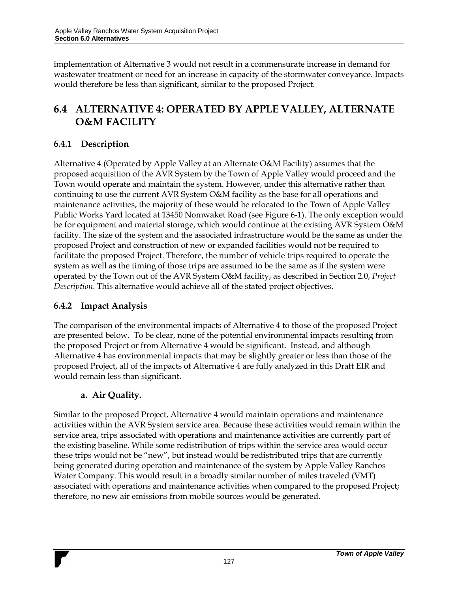implementation of Alternative 3 would not result in a commensurate increase in demand for wastewater treatment or need for an increase in capacity of the stormwater conveyance. Impacts would therefore be less than significant, similar to the proposed Project.

## **6.4 ALTERNATIVE 4: OPERATED BY APPLE VALLEY, ALTERNATE O&M FACILITY**

## **6.4.1 Description**

Alternative 4 (Operated by Apple Valley at an Alternate O&M Facility) assumes that the proposed acquisition of the AVR System by the Town of Apple Valley would proceed and the Town would operate and maintain the system. However, under this alternative rather than continuing to use the current AVR System O&M facility as the base for all operations and maintenance activities, the majority of these would be relocated to the Town of Apple Valley Public Works Yard located at 13450 Nomwaket Road (see Figure 6-1). The only exception would be for equipment and material storage, which would continue at the existing AVR System O&M facility. The size of the system and the associated infrastructure would be the same as under the proposed Project and construction of new or expanded facilities would not be required to facilitate the proposed Project. Therefore, the number of vehicle trips required to operate the system as well as the timing of those trips are assumed to be the same as if the system were operated by the Town out of the AVR System O&M facility, as described in Section 2.0, *Project Description*. This alternative would achieve all of the stated project objectives.

#### **6.4.2 Impact Analysis**

The comparison of the environmental impacts of Alternative 4 to those of the proposed Project are presented below. To be clear, none of the potential environmental impacts resulting from the proposed Project or from Alternative 4 would be significant. Instead, and although Alternative 4 has environmental impacts that may be slightly greater or less than those of the proposed Project, all of the impacts of Alternative 4 are fully analyzed in this Draft EIR and would remain less than significant.

## **a. Air Quality.**

Similar to the proposed Project, Alternative 4 would maintain operations and maintenance activities within the AVR System service area. Because these activities would remain within the service area, trips associated with operations and maintenance activities are currently part of the existing baseline. While some redistribution of trips within the service area would occur these trips would not be "new", but instead would be redistributed trips that are currently being generated during operation and maintenance of the system by Apple Valley Ranchos Water Company. This would result in a broadly similar number of miles traveled (VMT) associated with operations and maintenance activities when compared to the proposed Project; therefore, no new air emissions from mobile sources would be generated.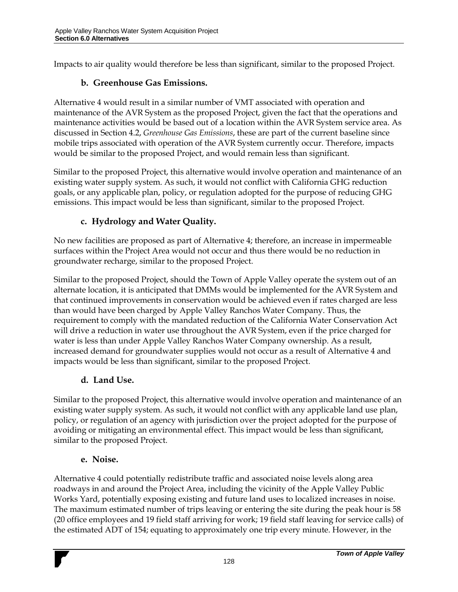Impacts to air quality would therefore be less than significant, similar to the proposed Project.

## **b. Greenhouse Gas Emissions.**

Alternative 4 would result in a similar number of VMT associated with operation and maintenance of the AVR System as the proposed Project, given the fact that the operations and maintenance activities would be based out of a location within the AVR System service area. As discussed in Section 4.2, *Greenhouse Gas Emissions*, these are part of the current baseline since mobile trips associated with operation of the AVR System currently occur. Therefore, impacts would be similar to the proposed Project, and would remain less than significant.

Similar to the proposed Project, this alternative would involve operation and maintenance of an existing water supply system. As such, it would not conflict with California GHG reduction goals, or any applicable plan, policy, or regulation adopted for the purpose of reducing GHG emissions. This impact would be less than significant, similar to the proposed Project.

## **c. Hydrology and Water Quality.**

No new facilities are proposed as part of Alternative 4; therefore, an increase in impermeable surfaces within the Project Area would not occur and thus there would be no reduction in groundwater recharge, similar to the proposed Project.

Similar to the proposed Project, should the Town of Apple Valley operate the system out of an alternate location, it is anticipated that DMMs would be implemented for the AVR System and that continued improvements in conservation would be achieved even if rates charged are less than would have been charged by Apple Valley Ranchos Water Company. Thus, the requirement to comply with the mandated reduction of the California Water Conservation Act will drive a reduction in water use throughout the AVR System, even if the price charged for water is less than under Apple Valley Ranchos Water Company ownership. As a result, increased demand for groundwater supplies would not occur as a result of Alternative 4 and impacts would be less than significant, similar to the proposed Project.

## **d. Land Use.**

Similar to the proposed Project, this alternative would involve operation and maintenance of an existing water supply system. As such, it would not conflict with any applicable land use plan, policy, or regulation of an agency with jurisdiction over the project adopted for the purpose of avoiding or mitigating an environmental effect. This impact would be less than significant, similar to the proposed Project.

## **e. Noise.**

Alternative 4 could potentially redistribute traffic and associated noise levels along area roadways in and around the Project Area, including the vicinity of the Apple Valley Public Works Yard, potentially exposing existing and future land uses to localized increases in noise. The maximum estimated number of trips leaving or entering the site during the peak hour is 58 (20 office employees and 19 field staff arriving for work; 19 field staff leaving for service calls) of the estimated ADT of 154; equating to approximately one trip every minute. However, in the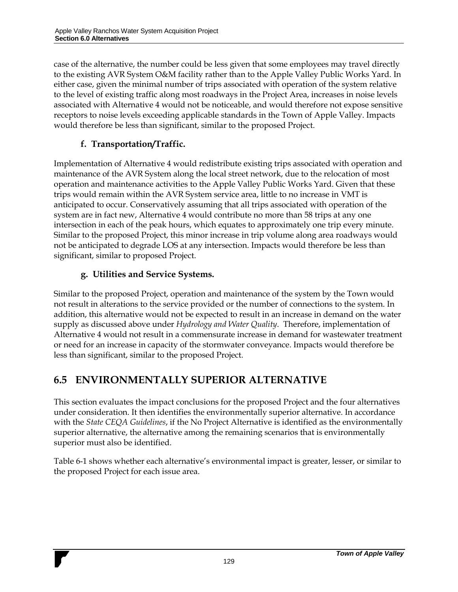case of the alternative, the number could be less given that some employees may travel directly to the existing AVR System O&M facility rather than to the Apple Valley Public Works Yard. In either case, given the minimal number of trips associated with operation of the system relative to the level of existing traffic along most roadways in the Project Area, increases in noise levels associated with Alternative 4 would not be noticeable, and would therefore not expose sensitive receptors to noise levels exceeding applicable standards in the Town of Apple Valley. Impacts would therefore be less than significant, similar to the proposed Project.

## **f. Transportation/Traffic.**

Implementation of Alternative 4 would redistribute existing trips associated with operation and maintenance of the AVR System along the local street network, due to the relocation of most operation and maintenance activities to the Apple Valley Public Works Yard. Given that these trips would remain within the AVR System service area, little to no increase in VMT is anticipated to occur. Conservatively assuming that all trips associated with operation of the system are in fact new, Alternative 4 would contribute no more than 58 trips at any one intersection in each of the peak hours, which equates to approximately one trip every minute. Similar to the proposed Project, this minor increase in trip volume along area roadways would not be anticipated to degrade LOS at any intersection. Impacts would therefore be less than significant, similar to proposed Project.

## **g. Utilities and Service Systems.**

Similar to the proposed Project, operation and maintenance of the system by the Town would not result in alterations to the service provided or the number of connections to the system. In addition, this alternative would not be expected to result in an increase in demand on the water supply as discussed above under *Hydrology and Water Quality*. Therefore, implementation of Alternative 4 would not result in a commensurate increase in demand for wastewater treatment or need for an increase in capacity of the stormwater conveyance. Impacts would therefore be less than significant, similar to the proposed Project.

## **6.5 ENVIRONMENTALLY SUPERIOR ALTERNATIVE**

This section evaluates the impact conclusions for the proposed Project and the four alternatives under consideration. It then identifies the environmentally superior alternative. In accordance with the *State CEQA Guidelines*, if the No Project Alternative is identified as the environmentally superior alternative, the alternative among the remaining scenarios that is environmentally superior must also be identified.

Table 6-1 shows whether each alternative's environmental impact is greater, lesser, or similar to the proposed Project for each issue area.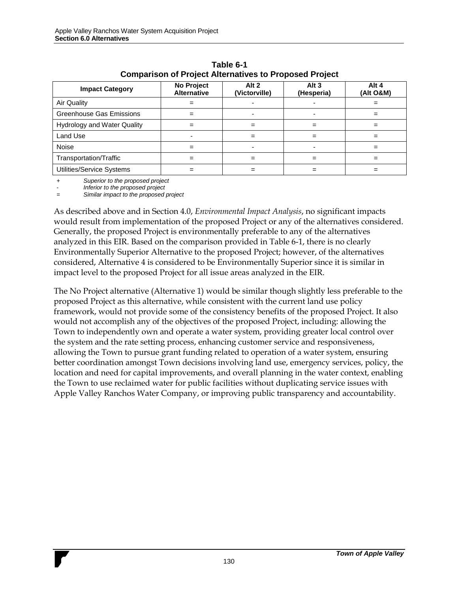| <b>Impact Category</b>             | No Project<br><b>Alternative</b> | Alt 2<br>(Victorville) | Alt <sub>3</sub><br>(Hesperia) | Alt 4<br>(Alt O&M) |
|------------------------------------|----------------------------------|------------------------|--------------------------------|--------------------|
| <b>Air Quality</b>                 | $=$                              |                        |                                |                    |
| <b>Greenhouse Gas Emissions</b>    | $=$                              |                        |                                | =                  |
| <b>Hydrology and Water Quality</b> | $=$                              | $=$                    | =                              | =                  |
| Land Use                           |                                  | $=$                    | =                              |                    |
| Noise                              | $=$                              | $\blacksquare$         |                                | =                  |
| Transportation/Traffic             | $=$                              | $=$                    | =                              | =                  |
| Utilities/Service Systems          |                                  | =                      |                                | =                  |

**Table 6-1 Comparison of Project Alternatives to Proposed Project**

*+ Superior to the proposed project*

*- Inferior to the proposed project*

*= Similar impact to the proposed project*

As described above and in Section 4.0, *Environmental Impact Analysis*, no significant impacts would result from implementation of the proposed Project or any of the alternatives considered. Generally, the proposed Project is environmentally preferable to any of the alternatives analyzed in this EIR. Based on the comparison provided in Table 6-1, there is no clearly Environmentally Superior Alternative to the proposed Project; however, of the alternatives considered, Alternative 4 is considered to be Environmentally Superior since it is similar in impact level to the proposed Project for all issue areas analyzed in the EIR.

The No Project alternative (Alternative 1) would be similar though slightly less preferable to the proposed Project as this alternative, while consistent with the current land use policy framework, would not provide some of the consistency benefits of the proposed Project. It also would not accomplish any of the objectives of the proposed Project, including: allowing the Town to independently own and operate a water system, providing greater local control over the system and the rate setting process, enhancing customer service and responsiveness, allowing the Town to pursue grant funding related to operation of a water system, ensuring better coordination amongst Town decisions involving land use, emergency services, policy, the location and need for capital improvements, and overall planning in the water context, enabling the Town to use reclaimed water for public facilities without duplicating service issues with Apple Valley Ranchos Water Company, or improving public transparency and accountability.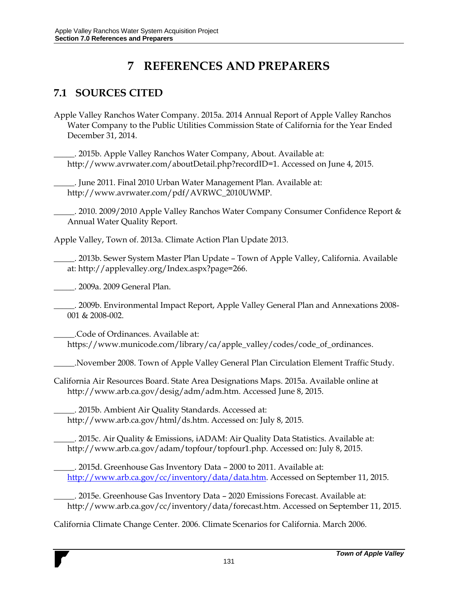# **7 REFERENCES AND PREPARERS**

## **7.1 SOURCES CITED**

Apple Valley Ranchos Water Company. 2015a. 2014 Annual Report of Apple Valley Ranchos Water Company to the Public Utilities Commission State of California for the Year Ended December 31, 2014.

\_\_\_\_\_. 2015b. Apple Valley Ranchos Water Company, About. Available at: http://www.avrwater.com/aboutDetail.php?recordID=1. Accessed on June 4, 2015.

\_\_\_\_\_. June 2011. Final 2010 Urban Water Management Plan. Available at: http://www.avrwater.com/pdf/AVRWC\_2010UWMP.

\_\_\_\_\_. 2010. 2009/2010 Apple Valley Ranchos Water Company Consumer Confidence Report & Annual Water Quality Report.

Apple Valley, Town of. 2013a. Climate Action Plan Update 2013.

\_\_\_\_\_. 2013b. Sewer System Master Plan Update – Town of Apple Valley, California. Available at: http://applevalley.org/Index.aspx?page=266.

\_\_\_\_\_. 2009a. 2009 General Plan.

\_\_\_\_\_. 2009b. Environmental Impact Report, Apple Valley General Plan and Annexations 2008- 001 & 2008-002.

\_\_\_\_\_.Code of Ordinances. Available at: https://www.municode.com/library/ca/apple\_valley/codes/code\_of\_ordinances.

\_\_\_\_\_.November 2008. Town of Apple Valley General Plan Circulation Element Traffic Study.

California Air Resources Board. State Area Designations Maps*.* 2015a. Available online at http://www.arb.ca.gov/desig/adm/adm.htm. Accessed June 8, 2015.

\_\_\_\_\_. 2015b. Ambient Air Quality Standards. Accessed at: http://www.arb.ca.gov/html/ds.htm. Accessed on: July 8, 2015.

\_\_\_\_\_. 2015c. Air Quality & Emissions, iADAM: Air Quality Data Statistics. Available at: http://www.arb.ca.gov/adam/topfour/topfour1.php. Accessed on: July 8, 2015.

\_\_\_\_\_. 2015d. Greenhouse Gas Inventory Data – 2000 to 2011. Available at: [http://www.arb.ca.gov/cc/inventory/data/data.htm.](http://www.arb.ca.gov/cc/inventory/data/data.htm) Accessed on September 11, 2015.

\_\_\_\_\_. 2015e. Greenhouse Gas Inventory Data – 2020 Emissions Forecast. Available at: http://www.arb.ca.gov/cc/inventory/data/forecast.htm. Accessed on September 11, 2015.

California Climate Change Center. 2006. Climate Scenarios for California. March 2006.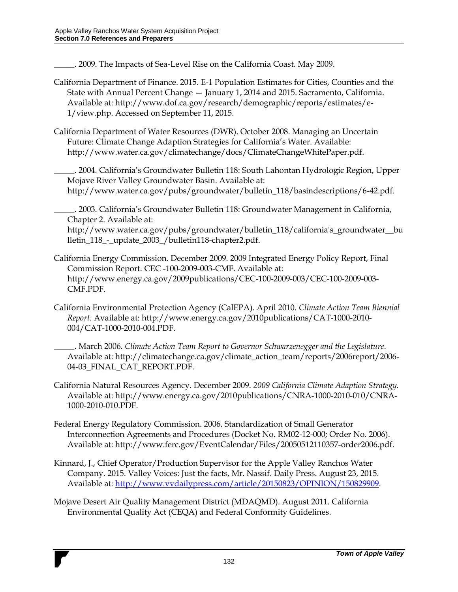\_\_\_\_\_. 2009. The Impacts of Sea-Level Rise on the California Coast. May 2009.

- California Department of Finance. 2015. E-1 Population Estimates for Cities, Counties and the State with Annual Percent Change — January 1, 2014 and 2015. Sacramento, California. Available at: http://www.dof.ca.gov/research/demographic/reports/estimates/e-1/view.php. Accessed on September 11, 2015.
- California Department of Water Resources (DWR). October 2008. Managing an Uncertain Future: Climate Change Adaption Strategies for California's Water. Available: http://www.water.ca.gov/climatechange/docs/ClimateChangeWhitePaper.pdf.

\_\_\_\_\_. 2004. California's Groundwater Bulletin 118: South Lahontan Hydrologic Region, Upper Mojave River Valley Groundwater Basin. Available at: http://www.water.ca.gov/pubs/groundwater/bulletin\_118/basindescriptions/6-42.pdf.

\_\_\_\_\_. 2003. California's Groundwater Bulletin 118: Groundwater Management in California, Chapter 2. Available at:

http://www.water.ca.gov/pubs/groundwater/bulletin\_118/california's\_groundwater\_\_bu lletin\_118\_-\_update\_2003\_/bulletin118-chapter2.pdf.

- California Energy Commission. December 2009. 2009 Integrated Energy Policy Report, Final Commission Report. CEC -100-2009-003-CMF. Available at: http://www.energy.ca.gov/2009publications/CEC-100-2009-003/CEC-100-2009-003- CMF.PDF.
- California Environmental Protection Agency (CalEPA). April 2010. *Climate Action Team Biennial Report*. Available at: http://www.energy.ca.gov/2010publications/CAT-1000-2010- 004/CAT-1000-2010-004.PDF.
	- \_\_\_\_\_. March 2006. *Climate Action Team Report to Governor Schwarzenegger and the Legislature*. Available at: http://climatechange.ca.gov/climate\_action\_team/reports/2006report/2006- 04-03\_FINAL\_CAT\_REPORT.PDF.
- California Natural Resources Agency. December 2009. *2009 California Climate Adaption Strategy.*  Available at: http://www.energy.ca.gov/2010publications/CNRA-1000-2010-010/CNRA-1000-2010-010.PDF.
- Federal Energy Regulatory Commission. 2006. Standardization of Small Generator Interconnection Agreements and Procedures (Docket No. RM02-12-000; Order No. 2006). Available at: http://www.ferc.gov/EventCalendar/Files/20050512110357-order2006.pdf.
- Kinnard, J., Chief Operator/Production Supervisor for the Apple Valley Ranchos Water Company. 2015. Valley Voices: Just the facts, Mr. Nassif. Daily Press. August 23, 2015. Available at: [http://www.vvdailypress.com/article/20150823/OPINION/150829909.](http://www.vvdailypress.com/article/20150823/OPINION/150829909)
- Mojave Desert Air Quality Management District (MDAQMD). August 2011. California Environmental Quality Act (CEQA) and Federal Conformity Guidelines.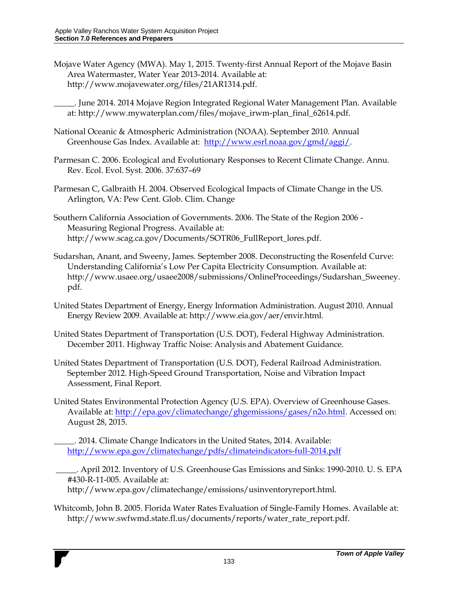- Mojave Water Agency (MWA). May 1, 2015. Twenty-first Annual Report of the Mojave Basin Area Watermaster, Water Year 2013-2014. Available at: http://www.mojavewater.org/files/21AR1314.pdf.
	- \_\_\_\_\_. June 2014. 2014 Mojave Region Integrated Regional Water Management Plan. Available at: http://www.mywaterplan.com/files/mojave\_irwm-plan\_final\_62614.pdf.
- National Oceanic & Atmospheric Administration (NOAA). September 2010. Annual Greenhouse Gas Index. Available at: [http://www.esrl.noaa.gov/gmd/aggi/.](http://www.esrl.noaa.gov/gmd/aggi/)
- Parmesan C. 2006. Ecological and Evolutionary Responses to Recent Climate Change. Annu. Rev. Ecol. Evol. Syst. 2006. 37:637–69
- Parmesan C, Galbraith H. 2004. Observed Ecological Impacts of Climate Change in the US. Arlington, VA: Pew Cent. Glob. Clim. Change
- Southern California Association of Governments. 2006. The State of the Region 2006 Measuring Regional Progress. Available at: http://www.scag.ca.gov/Documents/SOTR06\_FullReport\_lores.pdf.
- Sudarshan, Anant, and Sweeny, James. September 2008. Deconstructing the Rosenfeld Curve: Understanding California's Low Per Capita Electricity Consumption. Available at: http://www.usaee.org/usaee2008/submissions/OnlineProceedings/Sudarshan\_Sweeney. pdf.
- United States Department of Energy, Energy Information Administration. August 2010. Annual Energy Review 2009. Available at: http://www.eia.gov/aer/envir.html.
- United States Department of Transportation (U.S. DOT), Federal Highway Administration. December 2011. Highway Traffic Noise: Analysis and Abatement Guidance.
- United States Department of Transportation (U.S. DOT), Federal Railroad Administration. September 2012. High-Speed Ground Transportation, Noise and Vibration Impact Assessment, Final Report.
- United States Environmental Protection Agency (U.S. EPA). Overview of Greenhouse Gases. Available at: [http://epa.gov/climatechange/ghgemissions/gases/n2o.html.](http://epa.gov/climatechange/ghgemissions/gases/n2o.html) Accessed on: August 28, 2015.
	- \_\_\_\_\_. 2014. Climate Change Indicators in the United States, 2014. Available: <http://www.epa.gov/climatechange/pdfs/climateindicators-full-2014.pdf>
	- \_\_\_\_\_. April 2012. Inventory of U.S. Greenhouse Gas Emissions and Sinks: 1990-2010. U. S. EPA #430-R-11-005. Available at:

http://www.epa.gov/climatechange/emissions/usinventoryreport.html.

Whitcomb, John B. 2005. Florida Water Rates Evaluation of Single-Family Homes. Available at: http://www.swfwmd.state.fl.us/documents/reports/water\_rate\_report.pdf.